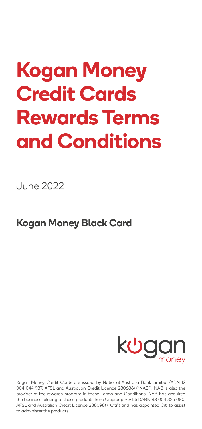# **Kogan Money Credit Cards Rewards Terms and Conditions**

June 2022

## **Kogan Money Black Card**



Kogan Money Credit Cards are issued by National Australia Bank Limited (ABN 12 004 044 937, AFSL and Australian Credit Licence 230686) ("NAB"). NAB is also the provider of the rewards program in these Terms and Conditions. NAB has acquired the business relating to these products from Citigroup Pty Ltd (ABN 88 004 325 080, AFSL and Australian Credit Licence 238098) ("Citi") and has appointed Citi to assist to administer the products.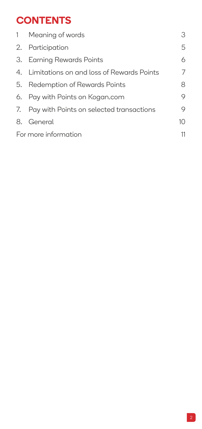# **CONTENTS**

|                      | 1 Meaning of words                           | 3  |
|----------------------|----------------------------------------------|----|
|                      | 2. Participation                             | 5  |
|                      | 3. Earning Rewards Points                    | 6  |
|                      | 4. Limitations on and loss of Rewards Points | 7  |
|                      | 5. Redemption of Rewards Points              | 8  |
|                      | 6. Pay with Points on Kogan.com              | 9  |
|                      | 7. Pay with Points on selected transactions  | 9  |
|                      | 8. General                                   | 10 |
| For more information |                                              | 11 |
|                      |                                              |    |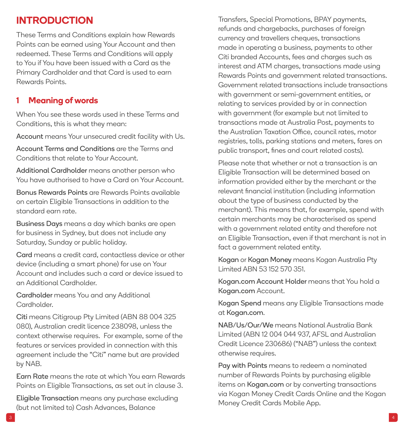### <span id="page-2-0"></span>**INTRODUCTION**

These Terms and Conditions explain how Rewards Points can be earned using Your Account and then redeemed. These Terms and Conditions will apply to You if You have been issued with a Card as the Primary Cardholder and that Card is used to earn Rewards Points.

#### **1 Meaning of words**

When You see these words used in these Terms and Conditions, this is what they mean:

Account means Your unsecured credit facility with Us.

Account Terms and Conditions are the Terms and Conditions that relate to Your Account.

Additional Cardholder means another person who You have authorised to have a Card on Your Account.

Bonus Rewards Points are Rewards Points available on certain Eligible Transactions in addition to the standard earn rate.

Business Days means a day which banks are open for business in Sydney, but does not include any Saturday, Sunday or public holiday.

Card means a credit card, contactless device or other device (including a smart phone) for use on Your Account and includes such a card or device issued to an Additional Cardholder.

Cardholder means You and any Additional Cardholder.

Citi means Citigroup Pty Limited (ABN 88 004 325 080), Australian credit licence 238098, unless the context otherwise requires. For example, some of the features or services provided in connection with this agreement include the "Citi" name but are provided by NAB.

Earn Rate means the rate at which You earn Rewards Points on Eligible Transactions, as set out in clause 3.

Eligible Transaction means any purchase excluding (but not limited to) Cash Advances, Balance

Transfers, Special Promotions, BPAY payments, refunds and chargebacks, purchases of foreign currency and travellers cheques, transactions made in operating a business, payments to other Citi branded Accounts, fees and charges such as interest and ATM charges, transactions made using Rewards Points and government related transactions. Government related transactions include transactions with government or semi-government entities, or relating to services provided by or in connection with government (for example but not limited to transactions made at Australia Post, payments to the Australian Taxation Office, council rates, motor registries, tolls, parking stations and meters, fares on public transport, fines and court related costs).

Please note that whether or not a transaction is an Eligible Transaction will be determined based on information provided either by the merchant or the relevant financial institution (including information about the type of business conducted by the merchant). This means that, for example, spend with certain merchants may be characterised as spend with a government related entity and therefore not an Eligible Transaction, even if that merchant is not in fact a government related entity.

Kogan or Kogan Money means Kogan Australia Pty Limited ABN 53 152 570 351.

[Kogan.com](http://Kogan.com) Account Holder means that You hold a [Kogan.com](http://Kogan.com) Account.

Kogan Spend means any Eligible Transactions made at [Kogan.com](http://Kogan.com).

NAB/Us/Our/We means National Australia Bank Limited (ABN 12 004 044 937, AFSL and Australian Credit Licence 230686) ("NAB") unless the context otherwise requires.

Pay with Points means to redeem a nominated number of Rewards Points by purchasing eligible items on [Kogan.com](http://Kogan.com) or by converting transactions via Kogan Money Credit Cards Online and the Kogan Money Credit Cards Mobile App.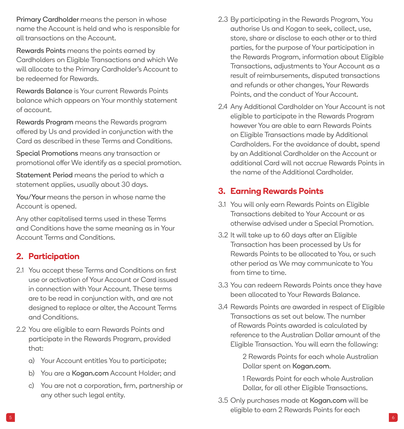<span id="page-3-0"></span>Primary Cardholder means the person in whose name the Account is held and who is responsible for all transactions on the Account.

Rewards Points means the points earned by Cardholders on Eligible Transactions and which We will allocate to the Primary Cardholder's Account to be redeemed for Rewards.

Rewards Balance is Your current Rewards Points balance which appears on Your monthly statement of account.

Rewards Program means the Rewards program offered by Us and provided in conjunction with the Card as described in these Terms and Conditions.

Special Promotions means any transaction or promotional offer We identify as a special promotion.

Statement Period means the period to which a statement applies, usually about 30 days.

You/Your means the person in whose name the Account is opened.

Any other capitalised terms used in these Terms and Conditions have the same meaning as in Your Account Terms and Conditions.

#### **2. Participation**

- 2.1 You accept these Terms and Conditions on first use or activation of Your Account or Card issued in connection with Your Account. These terms are to be read in conjunction with, and are not designed to replace or alter, the Account Terms and Conditions.
- 2.2 You are eligible to earn Rewards Points and participate in the Rewards Program, provided that:
	- a) Your Account entitles You to participate;
	- b) You are a [Kogan.com](http://Kogan.com) Account Holder; and
	- c) You are not a corporation, firm, partnership or any other such legal entity.
- 2.3 By participating in the Rewards Program, You authorise Us and Kogan to seek, collect, use, store, share or disclose to each other or to third parties, for the purpose of Your participation in the Rewards Program, information about Eligible Transactions, adjustments to Your Account as a result of reimbursements, disputed transactions and refunds or other changes, Your Rewards Points, and the conduct of Your Account.
- 2.4 Any Additional Cardholder on Your Account is not eligible to participate in the Rewards Program however You are able to earn Rewards Points on Eligible Transactions made by Additional Cardholders. For the avoidance of doubt, spend by an Additional Cardholder on the Account or additional Card will not accrue Rewards Points in the name of the Additional Cardholder.

#### **3. Earning Rewards Points**

- 3.1 You will only earn Rewards Points on Eligible Transactions debited to Your Account or as otherwise advised under a Special Promotion.
- 3.2 It will take up to 60 days after an Eligible Transaction has been processed by Us for Rewards Points to be allocated to You, or such other period as We may communicate to You from time to time.
- 3.3 You can redeem Rewards Points once they have been allocated to Your Rewards Balance.
- 3.4 Rewards Points are awarded in respect of Eligible Transactions as set out below. The number of Rewards Points awarded is calculated by reference to the Australian Dollar amount of the Eligible Transaction. You will earn the following:

2 Rewards Points for each whole Australian Dollar spent on [Kogan.com](http://Kogan.com).

1 Rewards Point for each whole Australian Dollar, for all other Eligible Transactions.

3.5 Only purchases made at [Kogan.com](http://Kogan.com) will be eligible to earn 2 Rewards Points for each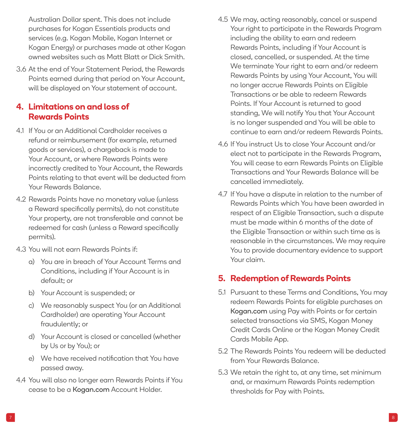<span id="page-4-0"></span>Australian Dollar spent. This does not include purchases for Kogan Essentials products and services (e.g. Kogan Mobile, Kogan Internet or Kogan Energy) or purchases made at other Kogan owned websites such as Matt Blatt or Dick Smith.

3.6 At the end of Your Statement Period, the Rewards Points earned during that period on Your Account, will be displayed on Your statement of account.

#### **4. Limitations on and loss of Rewards Points**

- 4.1 If You or an Additional Cardholder receives a refund or reimbursement (for example, returned goods or services), a chargeback is made to Your Account, or where Rewards Points were incorrectly credited to Your Account, the Rewards Points relating to that event will be deducted from Your Rewards Balance.
- 4.2 Rewards Points have no monetary value (unless a Reward specifically permits), do not constitute Your property, are not transferable and cannot be redeemed for cash (unless a Reward specifically permits).
- 4.3 You will not earn Rewards Points if:
	- a) You are in breach of Your Account Terms and Conditions, including if Your Account is in default; or
	- b) Your Account is suspended; or
	- c) We reasonably suspect You (or an Additional Cardholder) are operating Your Account fraudulently; or
	- d) Your Account is closed or cancelled (whether by Us or by You); or
	- e) We have received notification that You have passed away.
- 4.4 You will also no longer earn Rewards Points if You cease to be a [Kogan.com](http://Kogan.com) Account Holder.
- 4.5 We may, acting reasonably, cancel or suspend Your right to participate in the Rewards Program including the ability to earn and redeem Rewards Points, including if Your Account is closed, cancelled, or suspended. At the time We terminate Your right to earn and/or redeem Rewards Points by using Your Account, You will no longer accrue Rewards Points on Eligible Transactions or be able to redeem Rewards Points. If Your Account is returned to good standing, We will notify You that Your Account is no longer suspended and You will be able to continue to earn and/or redeem Rewards Points.
- 4.6 If You instruct Us to close Your Account and/or elect not to participate in the Rewards Program, You will cease to earn Rewards Points on Eligible Transactions and Your Rewards Balance will be cancelled immediately.
- 4.7 If You have a dispute in relation to the number of Rewards Points which You have been awarded in respect of an Eligible Transaction, such a dispute must be made within 6 months of the date of the Eligible Transaction or within such time as is reasonable in the circumstances. We may require You to provide documentary evidence to support Your claim.

#### **5. Redemption of Rewards Points**

- 5.1 Pursuant to these Terms and Conditions, You may redeem Rewards Points for eligible purchases on [Kogan.com](http://Kogan.com) using Pay with Points or for certain selected transactions via SMS, Kogan Money Credit Cards Online or the Kogan Money Credit Cards Mobile App.
- 5.2 The Rewards Points You redeem will be deducted from Your Rewards Balance.
- 5.3 We retain the right to, at any time, set minimum and, or maximum Rewards Points redemption thresholds for Pay with Points.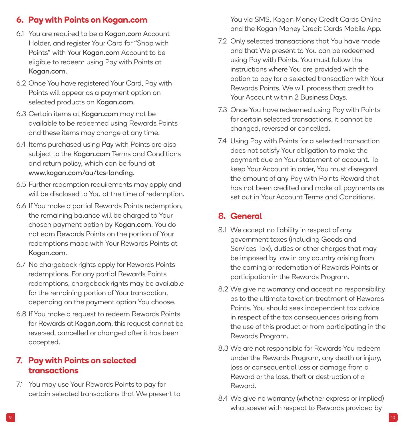#### <span id="page-5-0"></span>**6. Pay with Points on [Kogan.com](http://Kogan.com)**

- 6.1 You are required to be a [Kogan.com](http://Kogan.com) Account Holder, and register Your Card for "Shop with Points" with Your [Kogan.com](http://Kogan.com) Account to be eligible to redeem using Pay with Points at [Kogan.com](http://Kogan.com).
- 6.2 Once You have registered Your Card, Pay with Points will appear as a payment option on selected products on [Kogan.com](http://Kogan.com).
- 6.3 Certain items at [Kogan.com](http://Kogan.com) may not be available to be redeemed using Rewards Points and these items may change at any time.
- 6.4 Items purchased using Pay with Points are also subject to the [Kogan.com](http://Kogan.com) Terms and Conditions and return policy, which can be found at [www.kogan.com/au/tcs-landing](http://www.kogan.com/au/tcs-landing).
- 6.5 Further redemption requirements may apply and will be disclosed to You at the time of redemption.
- 6.6 If You make a partial Rewards Points redemption, the remaining balance will be charged to Your chosen payment option by [Kogan.com](http://Kogan.com). You do not earn Rewards Points on the portion of Your redemptions made with Your Rewards Points at [Kogan.com](http://Kogan.com).
- 6.7 No chargeback rights apply for Rewards Points redemptions. For any partial Rewards Points redemptions, chargeback rights may be available for the remaining portion of Your transaction, depending on the payment option You choose.
- 6.8 If You make a request to redeem Rewards Points for Rewards at [Kogan.com](http://Kogan.com), this request cannot be reversed, cancelled or changed after it has been accepted.

#### **7. Pay with Points on selected transactions**

7.1 You may use Your Rewards Points to pay for certain selected transactions that We present to You via SMS, Kogan Money Credit Cards Online and the Kogan Money Credit Cards Mobile App.

- 7.2 Only selected transactions that You have made and that We present to You can be redeemed using Pay with Points. You must follow the instructions where You are provided with the option to pay for a selected transaction with Your Rewards Points. We will process that credit to Your Account within 2 Business Days.
- 7.3 Once You have redeemed using Pay with Points for certain selected transactions, it cannot be changed, reversed or cancelled.
- 7.4 Using Pay with Points for a selected transaction does not satisfy Your obligation to make the payment due on Your statement of account. To keep Your Account in order, You must disregard the amount of any Pay with Points Reward that has not been credited and make all payments as set out in Your Account Terms and Conditions.

#### **8. General**

- 8.1 We accept no liability in respect of any government taxes (including Goods and Services Tax), duties or other charges that may be imposed by law in any country arising from the earning or redemption of Rewards Points or participation in the Rewards Program.
- 8.2 We give no warranty and accept no responsibility as to the ultimate taxation treatment of Rewards Points. You should seek independent tax advice in respect of the tax consequences arising from the use of this product or from participating in the Rewards Program.
- 8.3 We are not responsible for Rewards You redeem under the Rewards Program, any death or injury, loss or consequential loss or damage from a Reward or the loss, theft or destruction of a Reward.
- 8.4 We give no warranty (whether express or implied) whatsoever with respect to Rewards provided by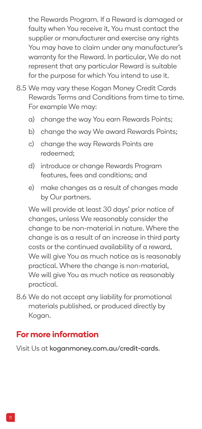<span id="page-6-0"></span>the Rewards Program. If a Reward is damaged or faulty when You receive it, You must contact the supplier or manufacturer and exercise any rights You may have to claim under any manufacturer's warranty for the Reward. In particular, We do not represent that any particular Reward is suitable for the purpose for which You intend to use it.

- 8.5 We may vary these Kogan Money Credit Cards Rewards Terms and Conditions from time to time. For example We may:
	- a) change the way You earn Rewards Points;
	- b) change the way We award Rewards Points;
	- c) change the way Rewards Points are redeemed;
	- d) introduce or change Rewards Program features, fees and conditions; and
	- e) make changes as a result of changes made by Our partners.

We will provide at least 30 days' prior notice of changes, unless We reasonably consider the change to be non-material in nature. Where the change is as a result of an increase in third party costs or the continued availability of a reward, We will give You as much notice as is reasonably practical. Where the change is non-material, We will give You as much notice as reasonably practical.

8.6 We do not accept any liability for promotional materials published, or produced directly by Kogan.

#### **For more information**

Visit Us at [koganmoney.com.au/credit-cards](http://koganmoney.com.au/credit-cards).